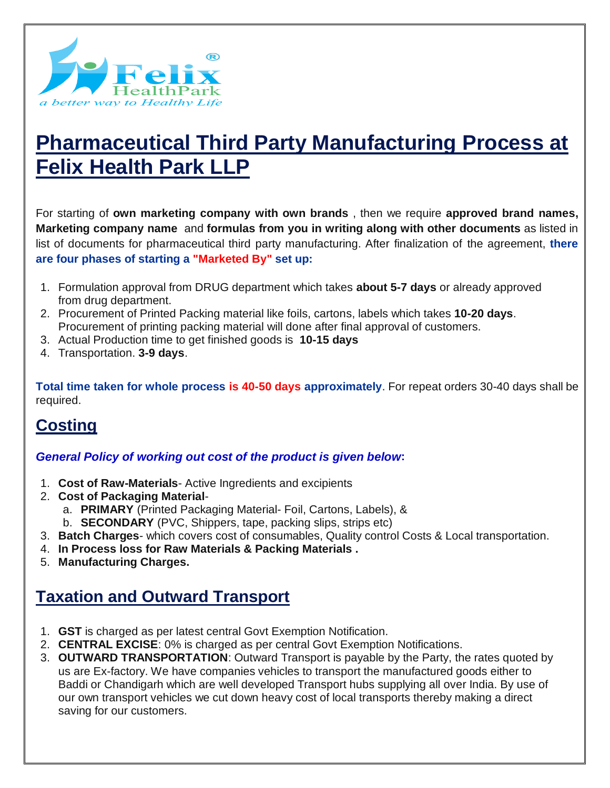

# **Pharmaceutical Third Party Manufacturing Process at Felix Health Park LLP**

For starting of **own marketing company with own brands** , then we require **approved brand names, Marketing company name** and **formulas from you in writing along with other documents** as listed in list of documents for pharmaceutical third party manufacturing. After finalization of the agreement, **there are four phases of starting a "Marketed By" set up:**

- 1. Formulation approval from DRUG department which takes **about 5-7 days** or already approved from drug department.
- 2. Procurement of Printed Packing material like foils, cartons, labels which takes **10-20 days**. Procurement of printing packing material will done after final approval of customers.
- 3. Actual Production time to get finished goods is **10-15 days**
- 4. Transportation. **3-9 days**.

**Total time taken for whole process is 40-50 days approximately**. For repeat orders 30-40 days shall be required.

### **Costing**

#### *General Policy of working out cost of the product is given below***:**

- 1. **Cost of Raw-Materials** Active Ingredients and excipients
- 2. **Cost of Packaging Material**
	- a. **PRIMARY** (Printed Packaging Material- Foil, Cartons, Labels), &
	- b. **SECONDARY** (PVC, Shippers, tape, packing slips, strips etc)
- 3. **Batch Charges** which covers cost of consumables, Quality control Costs & Local transportation.
- 4. **In Process loss for Raw Materials & Packing Materials .**
- 5. **Manufacturing Charges.**

### **Taxation and Outward Transport**

- 1. **GST** is charged as per latest central Govt Exemption Notification.
- 2. **CENTRAL EXCISE**: 0% is charged as per central Govt Exemption Notifications.
- 3. **OUTWARD TRANSPORTATION**: Outward Transport is payable by the Party, the rates quoted by us are Ex-factory. We have companies vehicles to transport the manufactured goods either to Baddi or Chandigarh which are well developed Transport hubs supplying all over India. By use of our own transport vehicles we cut down heavy cost of local transports thereby making a direct saving for our customers.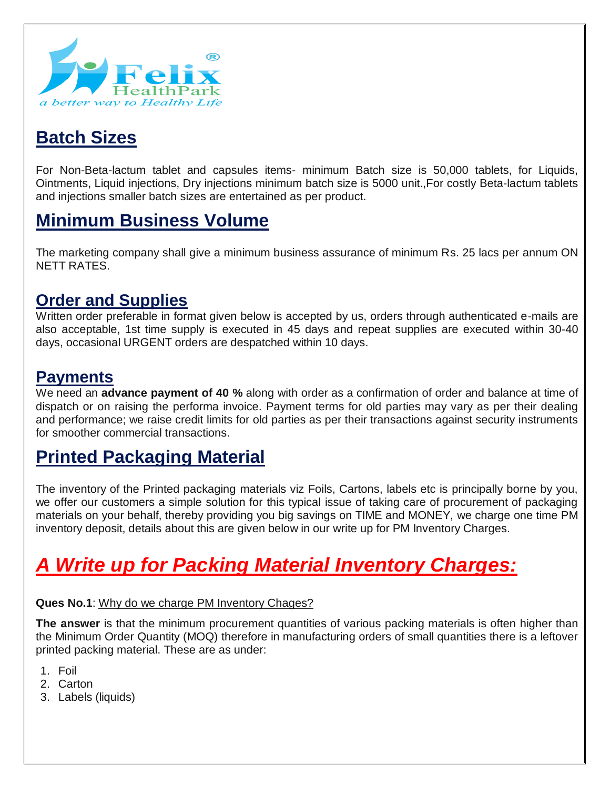

# **Batch Sizes**

For Non-Beta-lactum tablet and capsules items- minimum Batch size is 50,000 tablets, for Liquids, Ointments, Liquid injections, Dry injections minimum batch size is 5000 unit.,For costly Beta-lactum tablets and injections smaller batch sizes are entertained as per product.

# **Minimum Business Volume**

The marketing company shall give a minimum business assurance of minimum Rs. 25 lacs per annum ON NETT RATES.

### **Order and Supplies**

Written order preferable in format given below is accepted by us, orders through authenticated e-mails are also acceptable, 1st time supply is executed in 45 days and repeat supplies are executed within 30-40 days, occasional URGENT orders are despatched within 10 days.

### **Payments**

We need an **advance payment of 40 %** along with order as a confirmation of order and balance at time of dispatch or on raising the performa invoice. Payment terms for old parties may vary as per their dealing and performance; we raise credit limits for old parties as per their transactions against security instruments for smoother commercial transactions.

# **Printed Packaging Material**

The inventory of the Printed packaging materials viz Foils, Cartons, labels etc is principally borne by you, we offer our customers a simple solution for this typical issue of taking care of procurement of packaging materials on your behalf, thereby providing you big savings on TIME and MONEY, we charge one time PM inventory deposit, details about this are given below in our write up for PM Inventory Charges.

# *A Write up for Packing Material Inventory Charges:*

#### **Ques No.1**: Why do we charge PM Inventory Chages?

**The answer** is that the minimum procurement quantities of various packing materials is often higher than the Minimum Order Quantity (MOQ) therefore in manufacturing orders of small quantities there is a leftover printed packing material. These are as under:

- 1. Foil
- 2. Carton
- 3. Labels (liquids)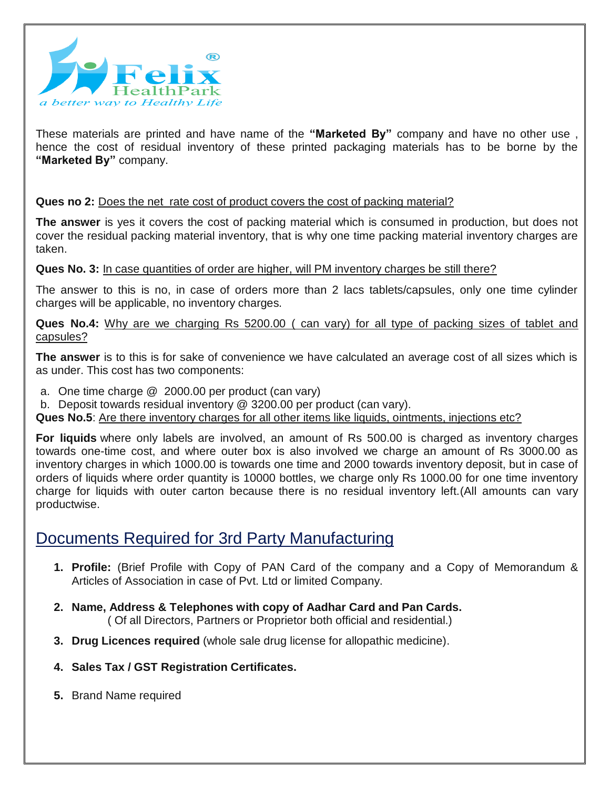

These materials are printed and have name of the **"Marketed By"** company and have no other use , hence the cost of residual inventory of these printed packaging materials has to be borne by the **"Marketed By"** company.

#### **Ques no 2:** Does the net rate cost of product covers the cost of packing material?

**The answer** is yes it covers the cost of packing material which is consumed in production, but does not cover the residual packing material inventory, that is why one time packing material inventory charges are taken.

#### **Ques No. 3:** In case quantities of order are higher, will PM inventory charges be still there?

The answer to this is no, in case of orders more than 2 lacs tablets/capsules, only one time cylinder charges will be applicable, no inventory charges.

Ques No.4: Why are we charging Rs 5200.00 ( can vary) for all type of packing sizes of tablet and capsules?

**The answer** is to this is for sake of convenience we have calculated an average cost of all sizes which is as under. This cost has two components:

- a. One time charge @ 2000.00 per product (can vary)
- b. Deposit towards residual inventory @ 3200.00 per product (can vary).
- Ques No.5: Are there inventory charges for all other items like liquids, ointments, injections etc?

**For liquids** where only labels are involved, an amount of Rs 500.00 is charged as inventory charges towards one-time cost, and where outer box is also involved we charge an amount of Rs 3000.00 as inventory charges in which 1000.00 is towards one time and 2000 towards inventory deposit, but in case of orders of liquids where order quantity is 10000 bottles, we charge only Rs 1000.00 for one time inventory charge for liquids with outer carton because there is no residual inventory left.(All amounts can vary productwise.

### Documents Required for 3rd Party Manufacturing

- **1. Profile:** (Brief Profile with Copy of PAN Card of the company and a Copy of Memorandum & Articles of Association in case of Pvt. Ltd or limited Company.
- **2. Name, Address & Telephones with copy of Aadhar Card and Pan Cards.** ( Of all Directors, Partners or Proprietor both official and residential.)
- **3. Drug Licences required** (whole sale drug license for allopathic medicine).
- **4. Sales Tax / GST Registration Certificates.**
- **5.** Brand Name required